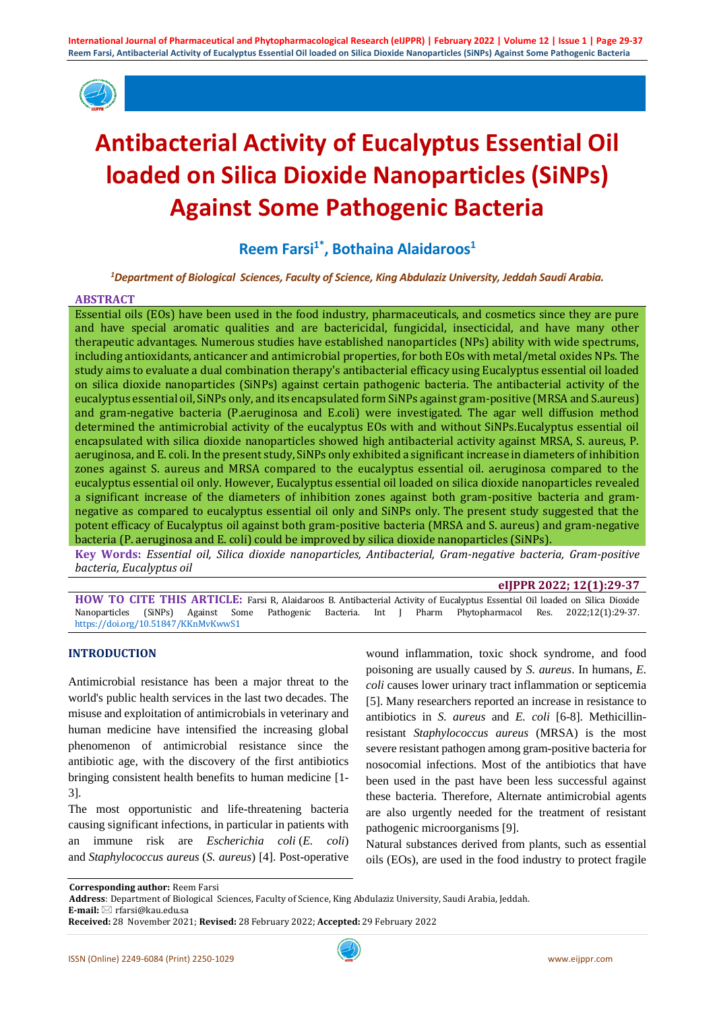

# **Antibacterial Activity of Eucalyptus Essential Oil loaded on Silica Dioxide Nanoparticles (SiNPs) Against Some Pathogenic Bacteria**

**Reem Farsi1\* , Bothaina Alaidaroos<sup>1</sup>**

*<sup>1</sup>Department of Biological Sciences, Faculty of Science, King Abdulaziz University, Jeddah Saudi Arabia.*

#### **ABSTRACT**

Essential oils (EOs) have been used in the food industry, pharmaceuticals, and cosmetics since they are pure and have special aromatic qualities and are bactericidal, fungicidal, insecticidal, and have many other therapeutic advantages. Numerous studies have established nanoparticles (NPs) ability with wide spectrums, including antioxidants, anticancer and antimicrobial properties, for both EOs with metal/metal oxides NPs. The study aims to evaluate a dual combination therapy's antibacterial efficacy using Eucalyptus essential oil loaded on silica dioxide nanoparticles (SiNPs) against certain pathogenic bacteria. The antibacterial activity of the eucalyptus essential oil, SiNPs only, and its encapsulated form SiNPs against gram-positive (MRSA and S.aureus) and gram-negative bacteria (P.aeruginosa and E.coli) were investigated. The agar well diffusion method determined the antimicrobial activity of the eucalyptus EOs with and without SiNPs.Eucalyptus essential oil encapsulated with silica dioxide nanoparticles showed high antibacterial activity against MRSA, S. aureus, P. aeruginosa, and E. coli. In the present study, SiNPs only exhibited a significant increase in diameters of inhibition zones against S. aureus and MRSA compared to the eucalyptus essential oil. aeruginosa compared to the eucalyptus essential oil only. However, Eucalyptus essential oil loaded on silica dioxide nanoparticles revealed a significant increase of the diameters of inhibition zones against both gram-positive bacteria and gramnegative as compared to eucalyptus essential oil only and SiNPs only. The present study suggested that the potent efficacy of Eucalyptus oil against both gram-positive bacteria (MRSA and S. aureus) and gram-negative bacteria (P. aeruginosa and E. coli) could be improved by silica dioxide nanoparticles (SiNPs).

**Key Words:** *Essential oil, Silica dioxide nanoparticles, Antibacterial, Gram-negative bacteria, Gram-positive bacteria, Eucalyptus oil*

#### **eIJPPR 2022; 12(1):29-37**

**HOW TO CITE THIS ARTICLE:** Farsi R, Alaidaroos B. Antibacterial Activity of Eucalyptus Essential Oil loaded on Silica Dioxide Nanoparticles (SiNPs) Against Some Pathogenic Bacteria. Int J Pharm Phytopharmacol Res. 2022;12(1):29-37. <https://doi.org/10.51847/KKnMvKwwS1>

# **INTRODUCTION**

Antimicrobial resistance has been a major threat to the world's public health services in the last two decades. The misuse and exploitation of antimicrobials in veterinary and human medicine have intensified the increasing global phenomenon of antimicrobial resistance since the antibiotic age, with the discovery of the first antibiotics bringing consistent health benefits to human medicine [1- 3].

The most opportunistic and life-threatening bacteria causing significant infections, in particular in patients with an immune risk are *Escherichia coli* (*E. coli*) and *Staphylococcus aureus* (*S. aureus*) [4]. Post-operative

wound inflammation, toxic shock syndrome, and food poisoning are usually caused by *S. aureus*. In humans, *E. coli* causes lower urinary tract inflammation or septicemia [5]. Many researchers reported an increase in resistance to antibiotics in *S. aureus* and *E. coli* [6-8]. Methicillinresistant *Staphylococcus aureus* (MRSA) is the most severe resistant pathogen among gram-positive bacteria for nosocomial infections. Most of the antibiotics that have been used in the past have been less successful against these bacteria. Therefore, Alternate antimicrobial agents are also urgently needed for the treatment of resistant pathogenic microorganisms [9].

Natural substances derived from plants, such as essential oils (EOs), are used in the food industry to protect fragile

**Address**: Department of Biological Sciences, Faculty of Science, King Abdulaziz University, Saudi Arabia, Jeddah.

**Corresponding author:** Reem Farsi

**E-mail:** ⊠ rfarsi@kau.edu.sa

**Received:** 28 November 2021; **Revised:** 28 February 2022; **Accepted:** 29 February 2022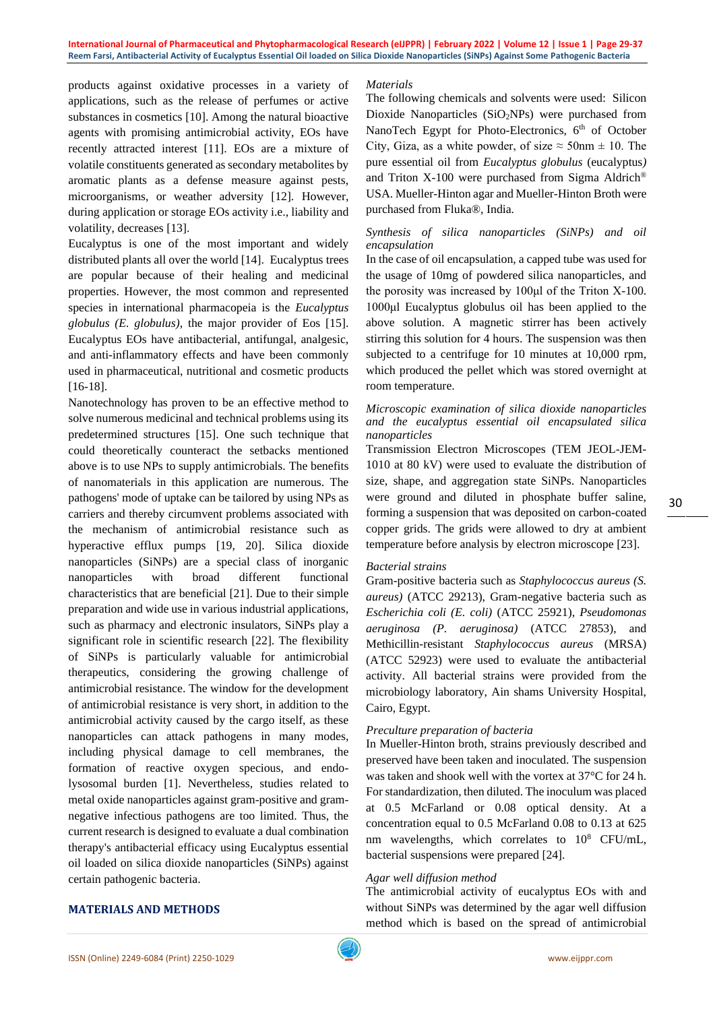#### **International Journal of Pharmaceutical and Phytopharmacological Research (eIJPPR) | February 2022 | Volume 12 | Issue 1 | Page 29-37 Reem Farsi, Antibacterial Activity of Eucalyptus Essential Oil loaded on Silica Dioxide Nanoparticles (SiNPs) Against Some Pathogenic Bacteria**

products against oxidative processes in a variety of applications, such as the release of perfumes or active substances in cosmetics [10]. Among the natural bioactive agents with promising antimicrobial activity, EOs have recently attracted interest [11]. EOs are a mixture of volatile constituents generated as secondary metabolites by aromatic plants as a defense measure against pests, microorganisms, or weather adversity [12]. However, during application or storage EOs activity i.e., liability and volatility, decreases [13].

Eucalyptus is one of the most important and widely distributed plants all over the world [14]. Eucalyptus trees are popular because of their healing and medicinal properties. However, the most common and represented species in international pharmacopeia is the *Eucalyptus globulus (E. globulus)*, the major provider of Eos [15]. Eucalyptus EOs have antibacterial, antifungal, analgesic, and anti-inflammatory effects and have been commonly used in pharmaceutical, nutritional and cosmetic products [16-18].

Nanotechnology has proven to be an effective method to solve numerous medicinal and technical problems using its predetermined structures [15]. One such technique that could theoretically counteract the setbacks mentioned above is to use NPs to supply antimicrobials. The benefits of nanomaterials in this application are numerous. The pathogens' mode of uptake can be tailored by using NPs as carriers and thereby circumvent problems associated with the mechanism of antimicrobial resistance such as hyperactive efflux pumps [19, 20]. Silica dioxide nanoparticles (SiNPs) are a special class of inorganic nanoparticles with broad different functional characteristics that are beneficial [21]. Due to their simple preparation and wide use in various industrial applications, such as pharmacy and electronic insulators, SiNPs play a significant role in scientific research [22]. The flexibility of SiNPs is particularly valuable for antimicrobial therapeutics, considering the growing challenge of antimicrobial resistance. The window for the development of antimicrobial resistance is very short, in addition to the antimicrobial activity caused by the cargo itself, as these nanoparticles can attack pathogens in many modes, including physical damage to cell membranes, the formation of reactive oxygen specious, and endolysosomal burden [1]. Nevertheless, studies related to metal oxide nanoparticles against gram-positive and gramnegative infectious pathogens are too limited. Thus, the current research is designed to evaluate a dual combination therapy's antibacterial efficacy using Eucalyptus essential oil loaded on silica dioxide nanoparticles (SiNPs) against certain pathogenic bacteria.

### *Materials*

The following chemicals and solvents were used: Silicon Dioxide Nanoparticles  $(SiO<sub>2</sub>NPs)$  were purchased from NanoTech Egypt for Photo-Electronics, 6<sup>th</sup> of October City, Giza, as a white powder, of size  $\approx$  50nm  $\pm$  10. The pure essential oil from *Eucalyptus globulus* (eucalyptus*)*  and Triton X-100 were purchased from Sigma Aldrich® USA. Mueller-Hinton agar and Mueller-Hinton Broth were purchased from Fluka®, India.

# *Synthesis of silica nanoparticles (SiNPs) and oil encapsulation*

In the case of oil encapsulation, a capped tube was used for the usage of 10mg of powdered silica nanoparticles, and the porosity was increased by 100μl of the Triton X-100. 1000μl Eucalyptus globulus oil has been applied to the above solution. A magnetic stirrer has been actively stirring this solution for 4 hours. The suspension was then subjected to a centrifuge for 10 minutes at 10,000 rpm, which produced the pellet which was stored overnight at room temperature.

#### *Microscopic examination of silica dioxide nanoparticles and the eucalyptus essential oil encapsulated silica nanoparticles*

Transmission Electron Microscopes (TEM JEOL-JEM-1010 at 80 kV) were used to evaluate the distribution of size, shape, and aggregation state SiNPs. Nanoparticles were ground and diluted in phosphate buffer saline, forming a suspension that was deposited on carbon-coated copper grids. The grids were allowed to dry at ambient temperature before analysis by electron microscope [23].

### *Bacterial strains*

Gram-positive bacteria such as *Staphylococcus aureus (S. aureus)* (ATCC 29213), Gram-negative bacteria such as *Escherichia coli (E. coli)* (ATCC 25921), *Pseudomonas aeruginosa (P. aeruginosa)* (ATCC 27853), and Methicillin-resistant *Staphylococcus aureus* (MRSA) (ATCC 52923) were used to evaluate the antibacterial activity. All bacterial strains were provided from the microbiology laboratory, Ain shams University Hospital, Cairo, Egypt.

### *Preculture preparation of bacteria*

In Mueller-Hinton broth, strains previously described and preserved have been taken and inoculated. The suspension was taken and shook well with the vortex at 37°C for 24 h. For standardization, then diluted. The inoculum was placed at 0.5 McFarland or 0.08 optical density. At a concentration equal to 0.5 McFarland 0.08 to 0.13 at 625 nm wavelengths, which correlates to  $10^8$  CFU/mL, bacterial suspensions were prepared [24].

# *Agar well diffusion method*

The antimicrobial activity of eucalyptus EOs with and without SiNPs was determined by the agar well diffusion method which is based on the spread of antimicrobial

### **MATERIALS AND METHODS**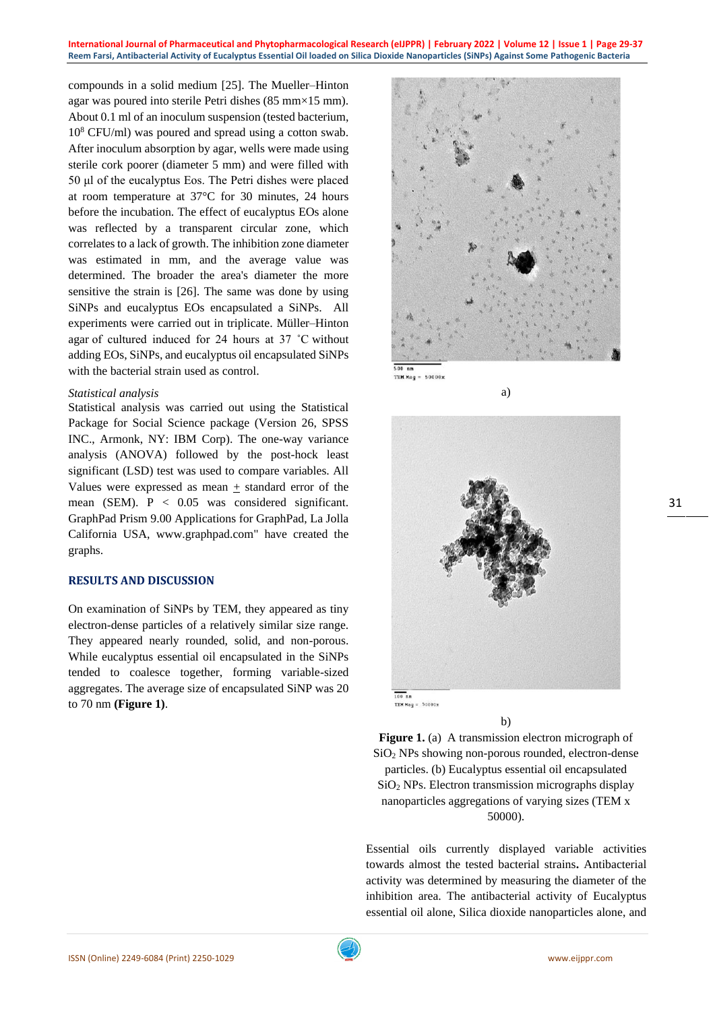compounds in a solid medium [25]. The Mueller–Hinton agar was poured into sterile Petri dishes (85 mm×15 mm). About 0.1 ml of an inoculum suspension (tested bacterium,  $10^8$  CFU/ml) was poured and spread using a cotton swab. After inoculum absorption by agar, wells were made using sterile cork poorer (diameter 5 mm) and were filled with 50 μl of the eucalyptus Eos. The Petri dishes were placed at room temperature at 37°C for 30 minutes, 24 hours before the incubation. The effect of eucalyptus EOs alone was reflected by a transparent circular zone, which correlates to a lack of growth. The inhibition zone diameter was estimated in mm, and the average value was determined. The broader the area's diameter the more sensitive the strain is [26]. The same was done by using SiNPs and eucalyptus EOs encapsulated a SiNPs. All experiments were carried out in triplicate. Müller–Hinton agar of cultured induced for 24 hours at 37 ˚C without adding EOs, SiNPs, and eucalyptus oil encapsulated SiNPs with the bacterial strain used as control.

#### *Statistical analysis*

Statistical analysis was carried out using the Statistical Package for Social Science package (Version 26, SPSS INC., Armonk, NY: IBM Corp). The one-way variance analysis (ANOVA) followed by the post-hock least significant (LSD) test was used to compare variables. All Values were expressed as mean  $+$  standard error of the mean (SEM). P < 0.05 was considered significant. GraphPad Prism 9.00 Applications for GraphPad, La Jolla California USA, [www.graphpad.com"](http://www.graphpad.com/) have created the graphs.

## **RESULTS AND DISCUSSION**

On examination of SiNPs by TEM, they appeared as tiny electron-dense particles of a relatively similar size range. They appeared nearly rounded, solid, and non-porous. While eucalyptus essential oil encapsulated in the SiNPs tended to coalesce together, forming variable-sized aggregates. The average size of encapsulated SiNP was 20 to 70 nm **(Figure 1)**.



**TEM Mag** 



a)

b)

**Figure 1.** (a) A transmission electron micrograph of SiO<sup>2</sup> NPs showing non-porous rounded, electron-dense particles. (b) Eucalyptus essential oil encapsulated  $SiO<sub>2</sub>$  NPs. Electron transmission micrographs display nanoparticles aggregations of varying sizes (TEM x 50000).

Essential oils currently displayed variable activities towards almost the tested bacterial strains**.** Antibacterial activity was determined by measuring the diameter of the inhibition area. The antibacterial activity of Eucalyptus essential oil alone, Silica dioxide nanoparticles alone, and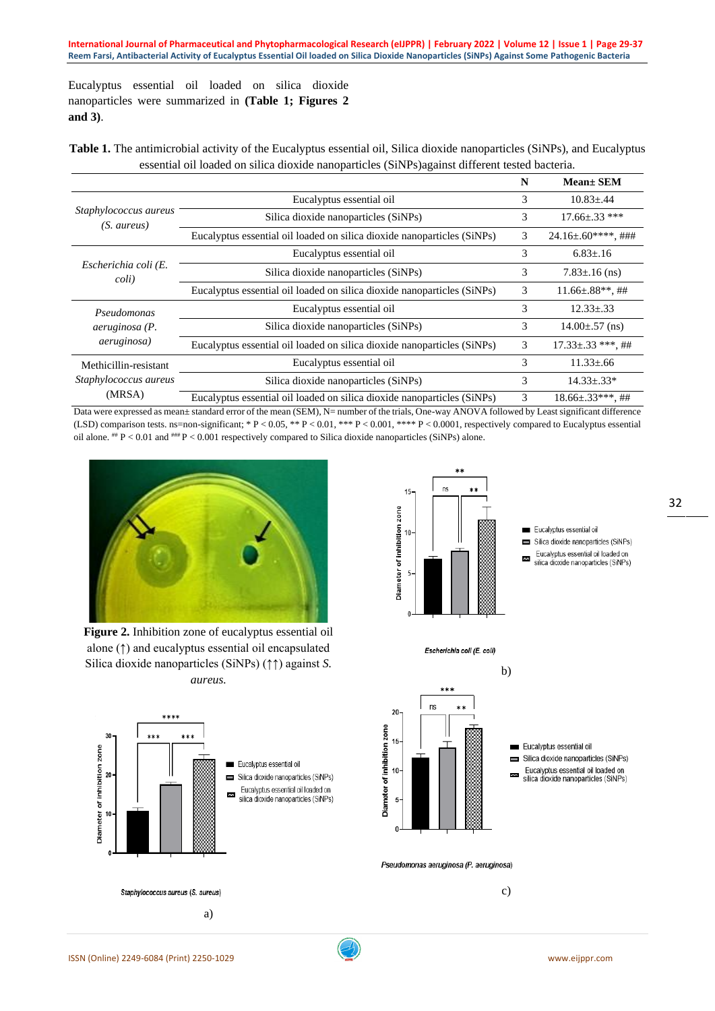Eucalyptus essential oil loaded on silica dioxide nanoparticles were summarized in **(Table 1; Figures 2 and 3)**.

**Table 1.** The antimicrobial activity of the Eucalyptus essential oil, Silica dioxide nanoparticles (SiNPs), and Eucalyptus essential oil loaded on silica dioxide nanoparticles (SiNPs)against different tested bacteria.

|                                                             |                                                                         | N | $Mean \pm SEM$             |
|-------------------------------------------------------------|-------------------------------------------------------------------------|---|----------------------------|
| Staphylococcus aureus<br>(S. aureus)                        | Eucalyptus essential oil                                                | 3 | $10.83 \pm .44$            |
|                                                             | Silica dioxide nanoparticles (SiNPs)                                    | 3 | $17.66 \pm .33$ ***        |
|                                                             | Eucalyptus essential oil loaded on silica dioxide nanoparticles (SiNPs) | 3 | $24.16 \pm 0.60$ ****, ### |
| Escherichia coli (E.<br>coli)                               | Eucalyptus essential oil                                                | 3 | $6.83 \pm .16$             |
|                                                             | Silica dioxide nanoparticles (SiNPs)                                    | 3 | $7.83 \pm 0.16$ (ns)       |
|                                                             | Eucalyptus essential oil loaded on silica dioxide nanoparticles (SiNPs) | 3 | $11.66\pm.88**$ , ##       |
| Pseudomonas<br><i>aeruginosa</i> (P.<br><i>aeruginosa</i> ) | Eucalyptus essential oil                                                | 3 | $12.33 \pm .33$            |
|                                                             | Silica dioxide nanoparticles (SiNPs)                                    | 3 | $14.00 \pm .57$ (ns)       |
|                                                             | Eucalyptus essential oil loaded on silica dioxide nanoparticles (SiNPs) | 3 | $17.33 \pm .33$ ***, ##    |
| Methicillin-resistant<br>Staphylococcus aureus<br>(MRSA)    | Eucalyptus essential oil                                                | 3 | $11.33 \pm .66$            |
|                                                             | Silica dioxide nanoparticles (SiNPs)                                    | 3 | $14.33 \pm .33^*$          |
|                                                             | Eucalyptus essential oil loaded on silica dioxide nanoparticles (SiNPs) | 3 | $18.66\pm 0.33***$ , ##    |

Data were expressed as mean± standard error of the mean (SEM), N= number of the trials, One-way ANOVA followed by Least significant difference (LSD) comparison tests. ns=non-significant; \*  $P < 0.05$ , \*\*  $P < 0.01$ , \*\*\*  $P < 0.001$ , \*\*\*  $P < 0.0001$ , respectively compared to Eucalyptus essential oil alone.  $^{**}P < 0.01$  and  $^{***}P < 0.001$  respectively compared to Silica dioxide nanoparticles (SiNPs) alone.



**Figure 2.** Inhibition zone of eucalyptus essential oil alone (↑) and eucalyptus essential oil encapsulated Silica dioxide nanoparticles (SiNPs) (↑↑) against *S. aureus.*





Escherichia coli (E. coli)

÷.

\*\*\*  $n<sub>s</sub>$ 

20

15

Diameter of inhibition zone

Eucalyptus essential oil  $\blacksquare$ Silica dioxide nanoparticles (SiNPs)

Eucalyptus essential oil

Silica dioxide nanoparticles (SiNPs)

Eucalvotus essential oil loaded on

silica dioxide nanoparticles (SiNPs)

Eucalyptus essential oil loaded on  $\overline{\mathbf{z}}$ silica dioxide nanoparticles (SiNPs) 32



Pseudomonas aeruginosa (P. aeruginosa)

c)

b)

 $\equiv$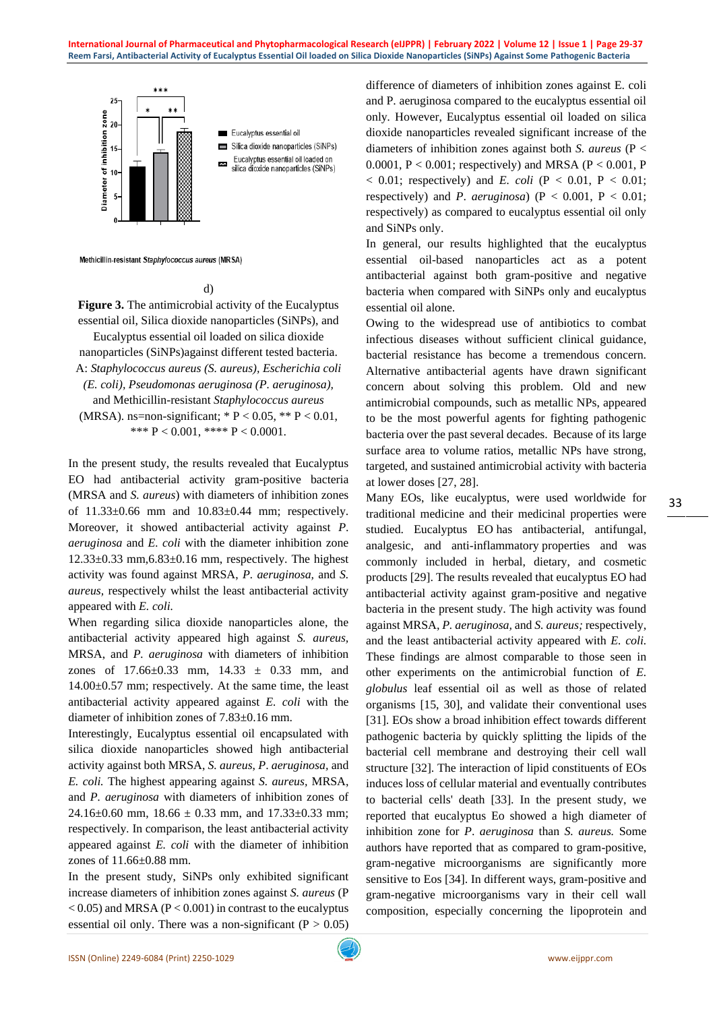

Methicillin-resistant Staphylococcus aureus (MRSA)

d)

**Figure 3.** The antimicrobial activity of the Eucalyptus essential oil, Silica dioxide nanoparticles (SiNPs), and

Eucalyptus essential oil loaded on silica dioxide

nanoparticles (SiNPs)against different tested bacteria.

A: *Staphylococcus aureus (S. aureus), Escherichia coli (E. coli), Pseudomonas aeruginosa (P. aeruginosa),*

and Methicillin-resistant *Staphylococcus aureus*  (MRSA). ns=non-significant; \*  $P < 0.05$ , \*\*  $P < 0.01$ , \*\*\*  $P < 0.001$ , \*\*\*\*  $P < 0.0001$ .

In the present study, the results revealed that Eucalyptus EO had antibacterial activity gram-positive bacteria (MRSA and *S. aureus*) with diameters of inhibition zones of 11.33±0.66 mm and 10.83±0.44 mm; respectively. Moreover, it showed antibacterial activity against *P*. *aeruginosa* and *E. coli* with the diameter inhibition zone  $12.33\pm0.33$  mm,  $6.83\pm0.16$  mm, respectively. The highest activity was found against MRSA, *P. aeruginosa,* and *S. aureus,* respectively whilst the least antibacterial activity appeared with *E. coli.*

When regarding silica dioxide nanoparticles alone, the antibacterial activity appeared high against *S. aureus,*  MRSA, and *P. aeruginosa* with diameters of inhibition zones of  $17.66 \pm 0.33$  mm,  $14.33 \pm 0.33$  mm, and 14.00±0.57 mm; respectively*.* At the same time, the least antibacterial activity appeared against *E. coli* with the diameter of inhibition zones of 7.83±0.16 mm.

Interestingly, Eucalyptus essential oil encapsulated with silica dioxide nanoparticles showed high antibacterial activity against both MRSA, *S. aureus*, *P*. *aeruginosa,* and *E. coli.* The highest appearing against *S. aureus,* MRSA, and *P. aeruginosa* with diameters of inhibition zones of  $24.16\pm0.60$  mm,  $18.66 \pm 0.33$  mm, and  $17.33\pm0.33$  mm; respectively*.* In comparison, the least antibacterial activity appeared against *E. coli* with the diameter of inhibition zones of 11.66±0.88 mm.

In the present study, SiNPs only exhibited significant increase diameters of inhibition zones against *S. aureus* (P  $< 0.05$ ) and MRSA (P $< 0.001$ ) in contrast to the eucalyptus essential oil only. There was a non-significant  $(P > 0.05)$  difference of diameters of inhibition zones against E. coli and P. aeruginosa compared to the eucalyptus essential oil only*.* However, Eucalyptus essential oil loaded on silica dioxide nanoparticles revealed significant increase of the diameters of inhibition zones against both *S. aureus* (P < 0.0001,  $P < 0.001$ ; respectively) and MRSA ( $P < 0.001$ , P  $< 0.01$ ; respectively) and *E. coli* (P  $< 0.01$ , P  $< 0.01$ ; respectively) and *P. aeruginosa*) ( $P < 0.001$ ,  $P < 0.01$ ; respectively) as compared to eucalyptus essential oil only and SiNPs only.

In general, our results highlighted that the eucalyptus essential oil-based nanoparticles act as a potent antibacterial against both gram-positive and negative bacteria when compared with SiNPs only and eucalyptus essential oil alone.

Owing to the widespread use of antibiotics to combat infectious diseases without sufficient clinical guidance, bacterial resistance has become a tremendous concern. Alternative antibacterial agents have drawn significant concern about solving this problem. Old and new antimicrobial compounds, such as metallic NPs, appeared to be the most powerful agents for fighting pathogenic bacteria over the past several decades. Because of its large surface area to volume ratios, metallic NPs have strong, targeted, and sustained antimicrobial activity with bacteria at lower doses [27, 28].

Many EOs, like eucalyptus, were used worldwide for traditional medicine and their medicinal properties were studied. Eucalyptus EO has antibacterial, antifungal, analgesic, and anti-inflammatory properties and was commonly included in herbal, dietary, and cosmetic products [29]. The results revealed that eucalyptus EO had antibacterial activity against gram-positive and negative bacteria in the present study. The high activity was found against MRSA, *P. aeruginosa,* and *S. aureus;* respectively, and the least antibacterial activity appeared with *E. coli.* These findings are almost comparable to those seen in other experiments on the antimicrobial function of *E. globulus* leaf essential oil as well as those of related organisms [15, 30], and validate their conventional uses [31]. EOs show a broad inhibition effect towards different pathogenic bacteria by quickly splitting the lipids of the bacterial cell membrane and destroying their cell wall structure [32]. The interaction of lipid constituents of EOs induces loss of cellular material and eventually contributes to bacterial cells' death [33]. In the present study, we reported that eucalyptus Eo showed a high diameter of inhibition zone for *P*. *aeruginosa* than *S. aureus.* Some authors have reported that as compared to gram-positive, gram-negative microorganisms are significantly more sensitive to Eos [34]. In different ways, gram-positive and gram-negative microorganisms vary in their cell wall composition, especially concerning the lipoprotein and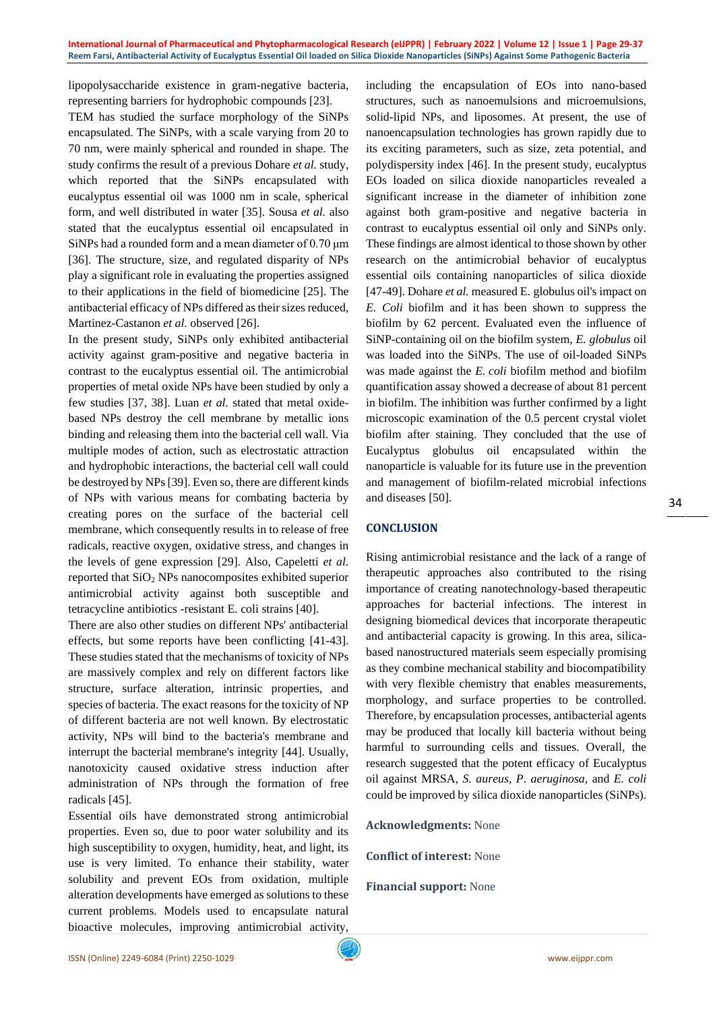lipopolysaccharide existence in gram-negative bacteria, representing barriers for hydrophobic compounds [23].

TEM has studied the surface morphology of the SiNPs encapsulated. The SiNPs, with a scale varying from 20 to 70 nm, were mainly spherical and rounded in shape. The study confirms the result of a previous Dohare *et al.* study, which reported that the SiNPs encapsulated with eucalyptus essential oil was 1000 nm in scale, spherical form, and well distributed in water [35]. Sousa *et al.* also stated that the eucalyptus essential oil encapsulated in SiNPs had a rounded form and a mean diameter of 0.70 μm [36]. The structure, size, and regulated disparity of NPs play a significant role in evaluating the properties assigned to their applications in the field of biomedicine [25]. The antibacterial efficacy of NPs differed as their sizes reduced, Martinez-Castanon *et al.* observed [26].

In the present study, SiNPs only exhibited antibacterial activity against gram-positive and negative bacteria in contrast to the eucalyptus essential oil*.* The antimicrobial properties of metal oxide NPs have been studied by only a few studies [37, 38]. Luan *et al.* stated that metal oxidebased NPs destroy the cell membrane by metallic ions binding and releasing them into the bacterial cell wall. Via multiple modes of action, such as electrostatic attraction and hydrophobic interactions, the bacterial cell wall could be destroyed by NPs[39]. Even so, there are different kinds of NPs with various means for combating bacteria by creating pores on the surface of the bacterial cell membrane, which consequently results in to release of free radicals, reactive oxygen, oxidative stress, and changes in the levels of gene expression [29]. Also, Capeletti *et al.* reported that SiO<sup>2</sup> NPs nanocomposites exhibited superior antimicrobial activity against both susceptible and tetracycline antibiotics -resistant E. coli strains [40].

There are also other studies on different NPs' antibacterial effects, but some reports have been conflicting [41-43]. These studies stated that the mechanisms of toxicity of NPs are massively complex and rely on different factors like structure, surface alteration, intrinsic properties, and species of bacteria. The exact reasons for the toxicity of NP of different bacteria are not well known. By electrostatic activity, NPs will bind to the bacteria's membrane and interrupt the bacterial membrane's integrity [44]. Usually, nanotoxicity caused oxidative stress induction after administration of NPs through the formation of free radicals [45].

Essential oils have demonstrated strong antimicrobial properties. Even so, due to poor water solubility and its high susceptibility to oxygen, humidity, heat, and light, its use is very limited. To enhance their stability, water solubility and prevent EOs from oxidation, multiple alteration developments have emerged as solutions to these current problems. Models used to encapsulate natural bioactive molecules, improving antimicrobial activity,

including the encapsulation of EOs into nano-based structures, such as nanoemulsions and microemulsions, solid-lipid NPs, and liposomes. At present, the use of nanoencapsulation technologies has grown rapidly due to its exciting parameters, such as size, zeta potential, and polydispersity index [46]. In the present study, eucalyptus EOs loaded on silica dioxide nanoparticles revealed a significant increase in the diameter of inhibition zone against both gram-positive and negative bacteria in contrast to eucalyptus essential oil only and SiNPs only. These findings are almost identical to those shown by other research on the antimicrobial behavior of eucalyptus essential oils containing nanoparticles of silica dioxide [47-49]. Dohare *et al.* measured E. globulus oil's impact on *E. Coli* biofilm and it has been shown to suppress the biofilm by 62 percent. Evaluated even the influence of SiNP-containing oil on the biofilm system, *E. globulus* oil was loaded into the SiNPs. The use of oil-loaded SiNPs was made against the *E. coli* biofilm method and biofilm quantification assay showed a decrease of about 81 percent in biofilm. The inhibition was further confirmed by a light microscopic examination of the 0.5 percent crystal violet biofilm after staining. They concluded that the use of Eucalyptus globulus oil encapsulated within the nanoparticle is valuable for its future use in the prevention and management of biofilm-related microbial infections and diseases [50].

### **CONCLUSION**

Rising antimicrobial resistance and the lack of a range of therapeutic approaches also contributed to the rising importance of creating nanotechnology-based therapeutic approaches for bacterial infections. The interest in designing biomedical devices that incorporate therapeutic and antibacterial capacity is growing. In this area, silicabased nanostructured materials seem especially promising as they combine mechanical stability and biocompatibility with very flexible chemistry that enables measurements, morphology, and surface properties to be controlled. Therefore, by encapsulation processes, antibacterial agents may be produced that locally kill bacteria without being harmful to surrounding cells and tissues. Overall, the research suggested that the potent efficacy of Eucalyptus oil against MRSA, *S. aureus*, *P*. *aeruginosa,* and *E. coli*  could be improved by silica dioxide nanoparticles (SiNPs).

### **Acknowledgments:** None

**Conflict of interest:** None

#### **Financial support:** None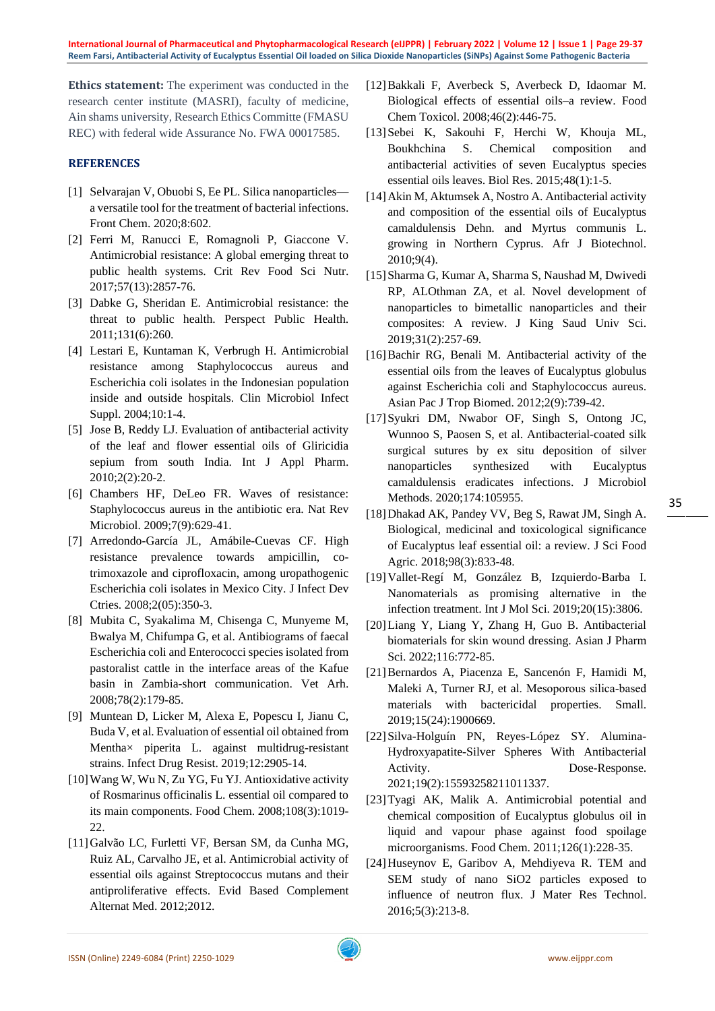**International Journal of Pharmaceutical and Phytopharmacological Research (eIJPPR) | February 2022 | Volume 12 | Issue 1 | Page 29-37 Reem Farsi, Antibacterial Activity of Eucalyptus Essential Oil loaded on Silica Dioxide Nanoparticles (SiNPs) Against Some Pathogenic Bacteria**

**Ethics statement:** The experiment was conducted in the research center institute (MASRI), faculty of medicine, Ain shams university, Research Ethics Committe (FMASU REC) with federal wide Assurance No. FWA 00017585.

#### **REFERENCES**

- [1] Selvarajan V, Obuobi S, Ee PL. Silica nanoparticles a versatile tool for the treatment of bacterial infections. Front Chem. 2020;8:602.
- [2] Ferri M, Ranucci E, Romagnoli P, Giaccone V. Antimicrobial resistance: A global emerging threat to public health systems. Crit Rev Food Sci Nutr. 2017;57(13):2857-76.
- [3] Dabke G, Sheridan E. Antimicrobial resistance: the threat to public health. Perspect Public Health. 2011;131(6):260.
- [4] Lestari E, Kuntaman K, Verbrugh H. Antimicrobial resistance among Staphylococcus aureus and Escherichia coli isolates in the Indonesian population inside and outside hospitals. Clin Microbiol Infect Suppl. 2004;10:1-4.
- [5] Jose B, Reddy LJ. Evaluation of antibacterial activity of the leaf and flower essential oils of Gliricidia sepium from south India. Int J Appl Pharm. 2010;2(2):20-2.
- [6] Chambers HF, DeLeo FR. Waves of resistance: Staphylococcus aureus in the antibiotic era. Nat Rev Microbiol. 2009;7(9):629-41.
- [7] Arredondo-García JL, Amábile-Cuevas CF. High resistance prevalence towards ampicillin, cotrimoxazole and ciprofloxacin, among uropathogenic Escherichia coli isolates in Mexico City. J Infect Dev Ctries. 2008;2(05):350-3.
- [8] Mubita C, Syakalima M, Chisenga C, Munyeme M, Bwalya M, Chifumpa G, et al. Antibiograms of faecal Escherichia coli and Enterococci species isolated from pastoralist cattle in the interface areas of the Kafue basin in Zambia-short communication. Vet Arh. 2008;78(2):179-85.
- [9] Muntean D, Licker M, Alexa E, Popescu I, Jianu C, Buda V, et al. Evaluation of essential oil obtained from Mentha× piperita L. against multidrug-resistant strains. Infect Drug Resist. 2019;12:2905-14.
- [10]Wang W, Wu N, Zu YG, Fu YJ. Antioxidative activity of Rosmarinus officinalis L. essential oil compared to its main components. Food Chem. 2008;108(3):1019-  $22.2$
- [11]Galvão LC, Furletti VF, Bersan SM, da Cunha MG, Ruiz AL, Carvalho JE, et al. Antimicrobial activity of essential oils against Streptococcus mutans and their antiproliferative effects. Evid Based Complement Alternat Med. 2012;2012.
- [12]Bakkali F, Averbeck S, Averbeck D, Idaomar M. Biological effects of essential oils–a review. Food Chem Toxicol. 2008;46(2):446-75.
- [13]Sebei K, Sakouhi F, Herchi W, Khouja ML, Boukhchina S. Chemical composition and antibacterial activities of seven Eucalyptus species essential oils leaves. Biol Res. 2015;48(1):1-5.
- [14]Akin M, Aktumsek A, Nostro A. Antibacterial activity and composition of the essential oils of Eucalyptus camaldulensis Dehn. and Myrtus communis L. growing in Northern Cyprus. Afr J Biotechnol. 2010;9(4).
- [15]Sharma G, Kumar A, Sharma S, Naushad M, Dwivedi RP, ALOthman ZA, et al. Novel development of nanoparticles to bimetallic nanoparticles and their composites: A review. J King Saud Univ Sci. 2019;31(2):257-69.
- [16] Bachir RG, Benali M. Antibacterial activity of the essential oils from the leaves of Eucalyptus globulus against Escherichia coli and Staphylococcus aureus. Asian Pac J Trop Biomed. 2012;2(9):739-42.
- [17]Syukri DM, Nwabor OF, Singh S, Ontong JC, Wunnoo S, Paosen S, et al. Antibacterial-coated silk surgical sutures by ex situ deposition of silver nanoparticles synthesized with Eucalyptus camaldulensis eradicates infections. J Microbiol Methods. 2020;174:105955.
- [18]Dhakad AK, Pandey VV, Beg S, Rawat JM, Singh A. Biological, medicinal and toxicological significance of Eucalyptus leaf essential oil: a review. J Sci Food Agric. 2018;98(3):833-48.
- [19]Vallet-Regí M, González B, Izquierdo-Barba I. Nanomaterials as promising alternative in the infection treatment. Int J Mol Sci. 2019;20(15):3806.
- [20]Liang Y, Liang Y, Zhang H, Guo B. Antibacterial biomaterials for skin wound dressing. Asian J Pharm Sci. 2022;116:772-85.
- [21]Bernardos A, Piacenza E, Sancenón F, Hamidi M, Maleki A, Turner RJ, et al. Mesoporous silica‐based materials with bactericidal properties. Small. 2019;15(24):1900669.
- [22]Silva-Holguín PN, Reyes-López SY. Alumina-Hydroxyapatite-Silver Spheres With Antibacterial Activity. Dose-Response. 2021;19(2):15593258211011337.
- [23]Tyagi AK, Malik A. Antimicrobial potential and chemical composition of Eucalyptus globulus oil in liquid and vapour phase against food spoilage microorganisms. Food Chem. 2011;126(1):228-35.
- [24]Huseynov E, Garibov A, Mehdiyeva R. TEM and SEM study of nano SiO2 particles exposed to influence of neutron flux. J Mater Res Technol. 2016;5(3):213-8.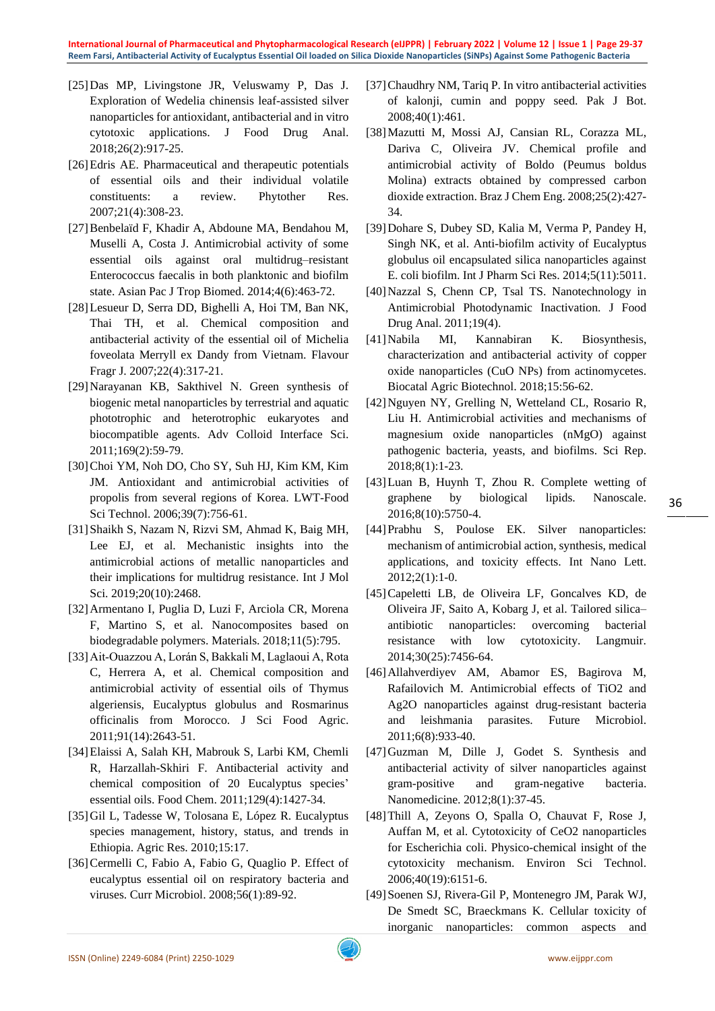- [25]Das MP, Livingstone JR, Veluswamy P, Das J. Exploration of Wedelia chinensis leaf-assisted silver nanoparticles for antioxidant, antibacterial and in vitro cytotoxic applications. J Food Drug Anal. 2018;26(2):917-25.
- [26]Edris AE. Pharmaceutical and therapeutic potentials of essential oils and their individual volatile constituents: a review. Phytother Res. 2007;21(4):308-23.
- [27]Benbelaïd F, Khadir A, Abdoune MA, Bendahou M, Muselli A, Costa J. Antimicrobial activity of some essential oils against oral multidrug–resistant Enterococcus faecalis in both planktonic and biofilm state. Asian Pac J Trop Biomed. 2014;4(6):463-72.
- [28]Lesueur D, Serra DD, Bighelli A, Hoi TM, Ban NK, Thai TH, et al. Chemical composition and antibacterial activity of the essential oil of Michelia foveolata Merryll ex Dandy from Vietnam. Flavour Fragr J. 2007;22(4):317-21.
- [29]Narayanan KB, Sakthivel N. Green synthesis of biogenic metal nanoparticles by terrestrial and aquatic phototrophic and heterotrophic eukaryotes and biocompatible agents. Adv Colloid Interface Sci. 2011;169(2):59-79.
- [30]Choi YM, Noh DO, Cho SY, Suh HJ, Kim KM, Kim JM. Antioxidant and antimicrobial activities of propolis from several regions of Korea. LWT-Food Sci Technol. 2006;39(7):756-61.
- [31]Shaikh S, Nazam N, Rizvi SM, Ahmad K, Baig MH, Lee EJ, et al. Mechanistic insights into the antimicrobial actions of metallic nanoparticles and their implications for multidrug resistance. Int J Mol Sci. 2019;20(10):2468.
- [32]Armentano I, Puglia D, Luzi F, Arciola CR, Morena F, Martino S, et al. Nanocomposites based on biodegradable polymers. Materials. 2018;11(5):795.
- [33]Ait‐Ouazzou A, Lorán S, Bakkali M, Laglaoui A, Rota C, Herrera A, et al. Chemical composition and antimicrobial activity of essential oils of Thymus algeriensis, Eucalyptus globulus and Rosmarinus officinalis from Morocco. J Sci Food Agric. 2011;91(14):2643-51.
- [34]Elaissi A, Salah KH, Mabrouk S, Larbi KM, Chemli R, Harzallah-Skhiri F. Antibacterial activity and chemical composition of 20 Eucalyptus species' essential oils. Food Chem. 2011;129(4):1427-34.
- [35]Gil L, Tadesse W, Tolosana E, López R. Eucalyptus species management, history, status, and trends in Ethiopia. Agric Res. 2010;15:17.
- [36] Cermelli C, Fabio A, Fabio G, Quaglio P. Effect of eucalyptus essential oil on respiratory bacteria and viruses. Curr Microbiol. 2008;56(1):89-92.
- [37] Chaudhry NM, Tariq P. In vitro antibacterial activities of kalonji, cumin and poppy seed. Pak J Bot. 2008;40(1):461.
- [38]Mazutti M, Mossi AJ, Cansian RL, Corazza ML, Dariva C, Oliveira JV. Chemical profile and antimicrobial activity of Boldo (Peumus boldus Molina) extracts obtained by compressed carbon dioxide extraction. Braz J Chem Eng. 2008;25(2):427- 34.
- [39]Dohare S, Dubey SD, Kalia M, Verma P, Pandey H, Singh NK, et al. Anti-biofilm activity of Eucalyptus globulus oil encapsulated silica nanoparticles against E. coli biofilm. Int J Pharm Sci Res. 2014;5(11):5011.
- [40]Nazzal S, Chenn CP, Tsal TS. Nanotechnology in Antimicrobial Photodynamic Inactivation. J Food Drug Anal. 2011;19(4).
- [41]Nabila MI, Kannabiran K. Biosynthesis, characterization and antibacterial activity of copper oxide nanoparticles (CuO NPs) from actinomycetes. Biocatal Agric Biotechnol. 2018;15:56-62.
- [42]Nguyen NY, Grelling N, Wetteland CL, Rosario R, Liu H. Antimicrobial activities and mechanisms of magnesium oxide nanoparticles (nMgO) against pathogenic bacteria, yeasts, and biofilms. Sci Rep. 2018;8(1):1-23.
- [43]Luan B, Huynh T, Zhou R. Complete wetting of graphene by biological lipids. Nanoscale. 2016;8(10):5750-4.
- [44]Prabhu S, Poulose EK. Silver nanoparticles: mechanism of antimicrobial action, synthesis, medical applications, and toxicity effects. Int Nano Lett. 2012;2(1):1-0.
- [45]Capeletti LB, de Oliveira LF, Goncalves KD, de Oliveira JF, Saito A, Kobarg J, et al. Tailored silica– antibiotic nanoparticles: overcoming bacterial resistance with low cytotoxicity. Langmuir. 2014;30(25):7456-64.
- [46]Allahverdiyev AM, Abamor ES, Bagirova M, Rafailovich M. Antimicrobial effects of TiO2 and Ag2O nanoparticles against drug-resistant bacteria and leishmania parasites. Future Microbiol. 2011;6(8):933-40.
- [47]Guzman M, Dille J, Godet S. Synthesis and antibacterial activity of silver nanoparticles against gram-positive and gram-negative bacteria. Nanomedicine. 2012;8(1):37-45.
- [48]Thill A, Zeyons O, Spalla O, Chauvat F, Rose J, Auffan M, et al. Cytotoxicity of CeO2 nanoparticles for Escherichia coli. Physico-chemical insight of the cytotoxicity mechanism. Environ Sci Technol. 2006;40(19):6151-6.
- [49]Soenen SJ, Rivera-Gil P, Montenegro JM, Parak WJ, De Smedt SC, Braeckmans K. Cellular toxicity of inorganic nanoparticles: common aspects and